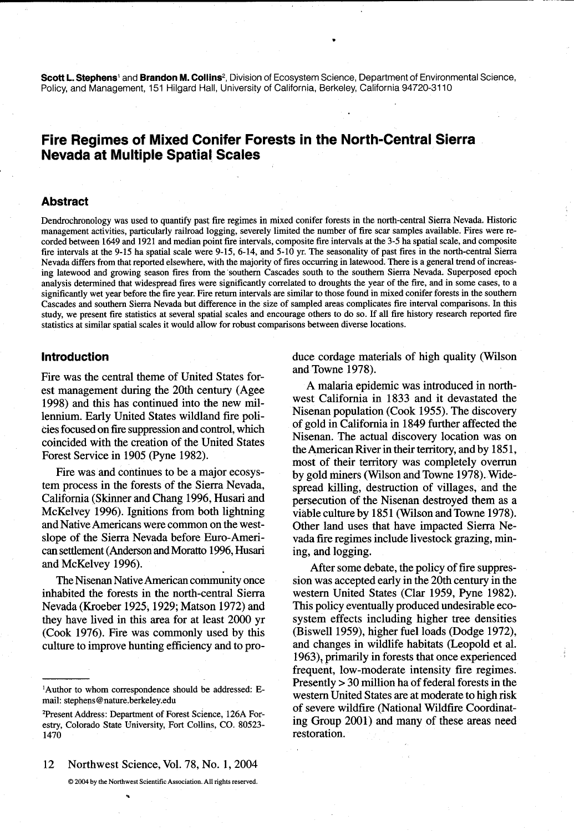Scott L. Stephens' and Brandon M. Collins<sup>2</sup>, Division of Ecosystem Science, Department of Environmental Science, Policy, and Management, 151 Hilgard Hall, University of California, Berkeley, California 94720-3110

# Fire Regimes of Mixed Conifer Forests in the North-Central Sierra **Nevada at Multiple Spatial Scales**

#### **Abstract**

Dendrochronology was used to quantify past fire regimes in mixed conifer forests in the north-central Sierra Nevada. Historic management activities, particularly railroad logging, severely limited the number of fire scar samples available. Fires were recorded between 1649 and 1921 and median point fire intervals, composite fire intervals at the 3-5 ha spatial scale, and composite fire intervals at the 9-15 ha spatial scale were 9-15, 6-14, and 5-10 yr. The seasonality of past fires in the north-central Sierra Nevada differs from that reported elsewhere, with the majority of fires occurring in latewood. There is a general trend of increasing latewood and growing season fires from the southern Cascades south to the southern Sierra Nevada. Superposed epoch analysis determined that widespread fires were significantly correlated to droughts the year of the fire, and in some cases, to a significantly wet year before the fire year. Fire return intervals are similar to those found in mixed conifer forests in the southern Cascades and southern Sierra Nevada but difference in the size of sampled areas complicates fire interval comparisons. In this study, we present fire statistics at several spatial scales and encourage others to do so. If all fire history research reported fire statistics at similar spatial scales it would allow for robust comparisons between diverse locations.

#### **Introduction**

Fire was the central theme of United States forest management during the 20th century (Agee 1998) and this has continued into the new millennium. Early United States wildland fire policies focused on fire suppression and control, which coincided with the creation of the United States Forest Service in 1905 (Pyne 1982).

Fire was and continues to be a major ecosystem process in the forests of the Sierra Nevada, California (Skinner and Chang 1996, Husari and McKelvey 1996). Ignitions from both lightning and Native Americans were common on the westslope of the Sierra Nevada before Euro-American settlement (Anderson and Moratto 1996, Husari and McKelvey 1996).

The Nisenan Native American community once inhabited the forests in the north-central Sierra Nevada (Kroeber 1925, 1929; Matson 1972) and they have lived in this area for at least 2000 yr (Cook 1976). Fire was commonly used by this culture to improve hunting efficiency and to pro-

12 Northwest Science, Vol. 78, No. 1, 2004

© 2004 by the Northwest Scientific Association. All rights reserved.

duce cordage materials of high quality (Wilson and Towne 1978).

A malaria epidemic was introduced in northwest California in 1833 and it devastated the Nisenan population (Cook 1955). The discovery of gold in California in 1849 further affected the Nisenan. The actual discovery location was on the American River in their territory, and by 1851, most of their territory was completely overrun by gold miners (Wilson and Towne 1978). Widespread killing, destruction of villages, and the persecution of the Nisenan destroyed them as a viable culture by 1851 (Wilson and Towne 1978). Other land uses that have impacted Sierra Nevada fire regimes include livestock grazing, mining, and logging.

After some debate, the policy of fire suppression was accepted early in the 20th century in the western United States (Clar 1959, Pyne 1982). This policy eventually produced undesirable ecosystem effects including higher tree densities (Biswell 1959), higher fuel loads (Dodge 1972), and changes in wildlife habitats (Leopold et al. 1963), primarily in forests that once experienced frequent, low-moderate intensity fire regimes. Presently > 30 million ha of federal forests in the western United States are at moderate to high risk of severe wildfire (National Wildfire Coordinating Group 2001) and many of these areas need restoration.

<sup>&</sup>lt;sup>1</sup>Author to whom correspondence should be addressed: Email: stephens@nature.berkeley.edu

<sup>&</sup>lt;sup>2</sup>Present Address: Department of Forest Science, 126A Forestry, Colorado State University, Fort Collins, CO. 80523-1470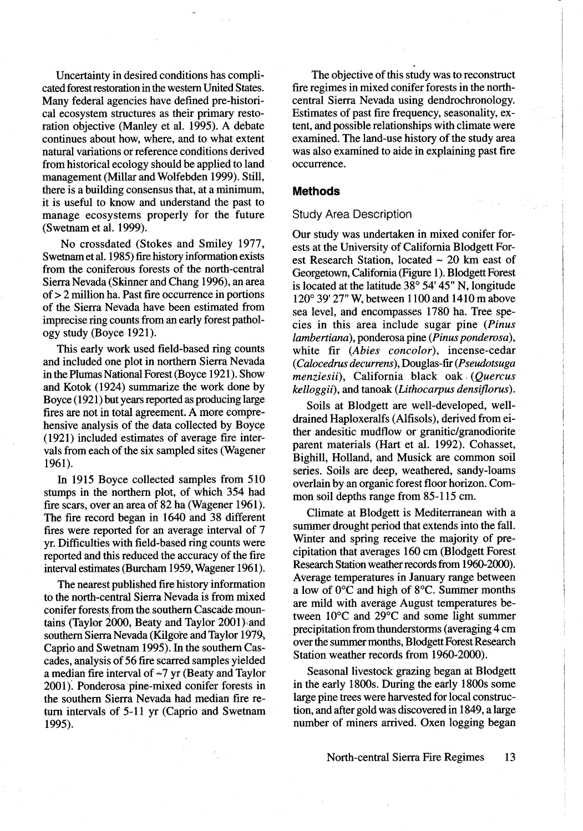Uncertainty in desired conditions has complicated forest restoration in the western United States. Many federal agencies have defined pre-historical ecosystem structures as their primary restoration objective (Manley et al. 1995). A debate continues about how, where, and to what extent natural variations or reference conditions derived from historical ecology should be applied to land management (Millar and Wolfebden 1999). Still, there is a building consensus that, at a minimum. it is useful to know and understand the past to manage ecosystems properly for the future (Swetnam et al. 1999).

No crossdated (Stokes and Smiley 1977, Swetnam et al. 1985) fire history information exists from the coniferous forests of the north-central Sierra Nevada (Skinner and Chang 1996), an area of  $> 2$  million ha. Past fire occurrence in portions of the Sierra Nevada have been estimated from imprecise ring counts from an early forest pathology study (Boyce 1921).

This early work used field-based ring counts and included one plot in northern Sierra Nevada in the Plumas National Forest (Boyce 1921). Show and Kotok (1924) summarize the work done by Boyce (1921) but years reported as producing large fires are not in total agreement. A more comprehensive analysis of the data collected by Boyce (1921) included estimates of average fire intervals from each of the six sampled sites (Wagener  $1961$ .

In 1915 Boyce collected samples from 510 stumps in the northern plot, of which 354 had fire scars, over an area of 82 ha (Wagener 1961). The fire record began in 1640 and 38 different fires were reported for an average interval of 7 vr. Difficulties with field-based ring counts were reported and this reduced the accuracy of the fire interval estimates (Burcham 1959, Wagener 1961).

The nearest published fire history information to the north-central Sierra Nevada is from mixed conifer forests from the southern Cascade mountains (Taylor 2000, Beaty and Taylor 2001) and southern Sierra Nevada (Kilgore and Taylor 1979, Caprio and Swetnam 1995). In the southern Cascades, analysis of 56 fire scarred samples yielded a median fire interval of  $\sim$ 7 yr (Beaty and Taylor 2001). Ponderosa pine-mixed conifer forests in the southern Sierra Nevada had median fire return intervals of 5-11 yr (Caprio and Swetnam 1995).

The objective of this study was to reconstruct fire regimes in mixed conifer forests in the northcentral Sierra Nevada using dendrochronology. Estimates of past fire frequency, seasonality, extent, and possible relationships with climate were examined. The land-use history of the study area was also examined to aide in explaining past fire occurrence.

## **Methods**

#### **Study Area Description**

Our study was undertaken in mixed conifer forests at the University of California Blodgett Forest Research Station, located  $\sim$  20 km east of Georgetown, California (Figure 1). Blodgett Forest is located at the latitude  $38^{\circ}$  54' 45" N, longitude 120° 39′ 27" W, between 1100 and 1410 m above sea level, and encompasses 1780 ha. Tree species in this area include sugar pine (Pinus lambertiana), ponderosa pine (Pinus ponderosa), white fir (Abies concolor), incense-cedar (Calocedrus decurrens), Douglas-fir (Pseudotsuga menziesii), California black oak (Quercus kelloggii), and tanoak (Lithocarpus densiflorus).

Soils at Blodgett are well-developed, welldrained Haploxeralfs (Alfisols), derived from either andesitic mudflow or granitic/granodiorite parent materials (Hart et al. 1992). Cohasset, Bighill, Holland, and Musick are common soil series. Soils are deep, weathered, sandy-loams overlain by an organic forest floor horizon. Common soil depths range from 85-115 cm.

Climate at Blodgett is Mediterranean with a summer drought period that extends into the fall. Winter and spring receive the majority of precipitation that averages 160 cm (Blodgett Forest Research Station weather records from 1960-2000). Average temperatures in January range between a low of  $0^{\circ}$ C and high of  $8^{\circ}$ C. Summer months are mild with average August temperatures between 10°C and 29°C and some light summer precipitation from thunderstorms (averaging 4 cm over the summer months, Blodgett Forest Research Station weather records from 1960-2000).

Seasonal livestock grazing began at Blodgett in the early 1800s. During the early 1800s some large pine trees were harvested for local construction, and after gold was discovered in 1849, a large number of miners arrived. Oxen logging began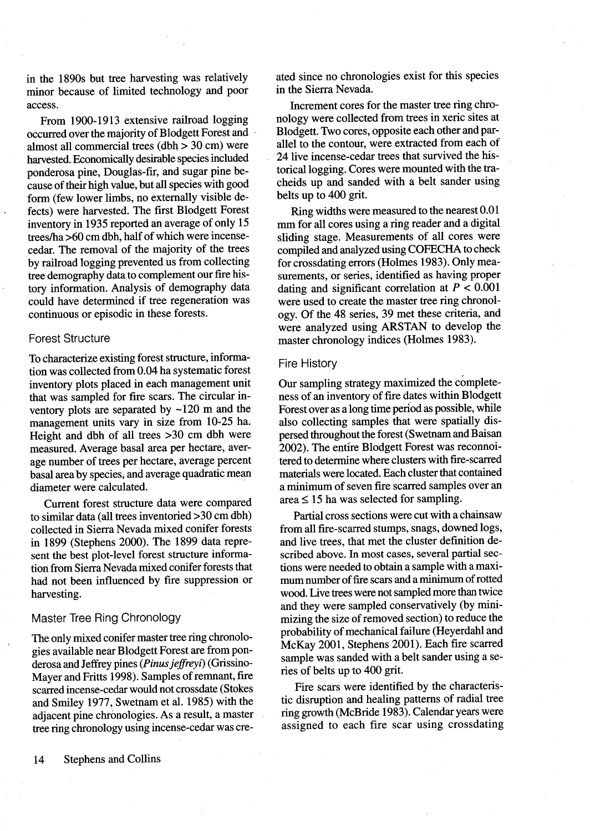in the 1890s but tree harvesting was relatively minor because of limited technology and poor access.

From 1900-1913 extensive railroad logging occurred over the majority of Blodgett Forest and almost all commercial trees (dbh  $>$  30 cm) were harvested. Economically desirable species included ponderosa pine, Douglas-fir, and sugar pine because of their high value, but all species with good form (few lower limbs, no externally visible defects) were harvested. The first Blodgett Forest inventory in 1935 reported an average of only 15 trees/ha >60 cm dbh, half of which were incensecedar. The removal of the majority of the trees by railroad logging prevented us from collecting tree demography data to complement our fire history information. Analysis of demography data could have determined if tree regeneration was continuous or episodic in these forests.

#### **Forest Structure**

 $\overline{a}$ 

To characterize existing forest structure, information was collected from 0.04 ha systematic forest inventory plots placed in each management unit that was sampled for fire scars. The circular inventory plots are separated by  $\sim$ 120 m and the management units vary in size from 10-25 ha. Height and dbh of all trees >30 cm dbh were measured. Average basal area per hectare, average number of trees per hectare, average percent basal area by species, and average quadratic mean diameter were calculated.

Current forest structure data were compared to similar data (all trees inventoried >30 cm dbh) collected in Sierra Nevada mixed conifer forests in 1899 (Stephens 2000). The 1899 data represent the best plot-level forest structure information from Sierra Nevada mixed conifer forests that had not been influenced by fire suppression or harvesting.

## Master Tree Ring Chronology

The only mixed conifer master tree ring chronologies available near Blodgett Forest are from ponderosa and Jeffrey pines (Pinus jeffreyi) (Grissino-Mayer and Fritts 1998). Samples of remnant, fire scarred incense-cedar would not crossdate (Stokes and Smiley 1977, Swetnam et al. 1985) with the adjacent pine chronologies. As a result, a master tree ring chronology using incense-cedar was created since no chronologies exist for this species in the Sierra Nevada.

Increment cores for the master tree ring chronology were collected from trees in xeric sites at Blodgett. Two cores, opposite each other and parallel to the contour, were extracted from each of 24 live incense-cedar trees that survived the historical logging. Cores were mounted with the tracheids up and sanded with a belt sander using belts up to 400 grit.

Ring widths were measured to the nearest 0.01 mm for all cores using a ring reader and a digital sliding stage. Measurements of all cores were compiled and analyzed using COFECHA to check for crossdating errors (Holmes 1983). Only measurements, or series, identified as having proper dating and significant correlation at  $P < 0.001$ were used to create the master tree ring chronology. Of the 48 series, 39 met these criteria, and were analyzed using ARSTAN to develop the master chronology indices (Holmes 1983).

#### **Fire History**

Our sampling strategy maximized the completeness of an inventory of fire dates within Blodgett Forest over as a long time period as possible, while also collecting samples that were spatially dispersed throughout the forest (Swetnam and Baisan 2002). The entire Blodgett Forest was reconnoitered to determine where clusters with fire-scarred materials were located. Each cluster that contained a minimum of seven fire scarred samples over an  $area \leq 15$  ha was selected for sampling.

Partial cross sections were cut with a chainsaw from all fire-scarred stumps, snags, downed logs, and live trees, that met the cluster definition described above. In most cases, several partial sections were needed to obtain a sample with a maximum number of fire scars and a minimum of rotted wood. Live trees were not sampled more than twice and they were sampled conservatively (by minimizing the size of removed section) to reduce the probability of mechanical failure (Heyerdahl and McKay 2001, Stephens 2001). Each fire scarred sample was sanded with a belt sander using a series of belts up to 400 grit.

Fire scars were identified by the characteristic disruption and healing patterns of radial tree ring growth (McBride 1983). Calendar years were assigned to each fire scar using crossdating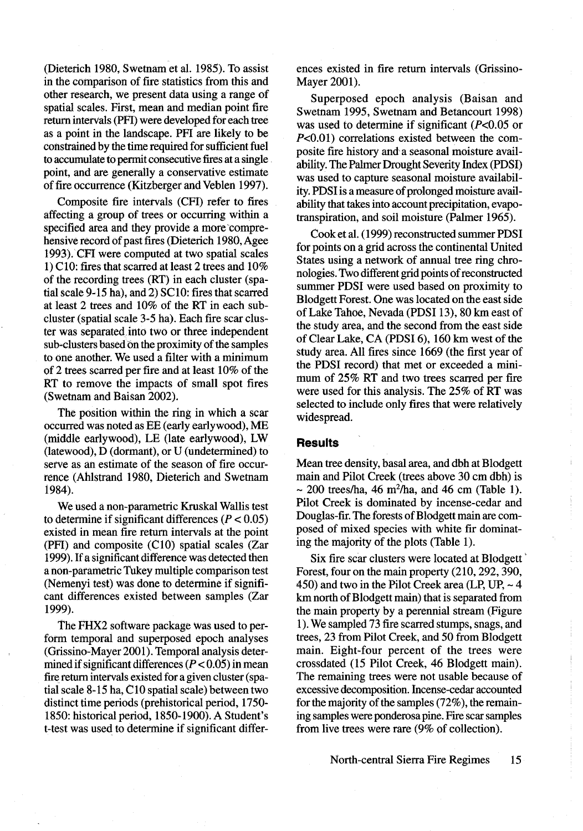(Dieterich 1980, Swetnam et al. 1985). To assist in the comparison of fire statistics from this and other research, we present data using a range of spatial scales. First, mean and median point fire return intervals (PFI) were developed for each tree as a point in the landscape. PFI are likely to be constrained by the time required for sufficient fuel to accumulate to permit consecutive fires at a single. point, and are generally a conservative estimate of fire occurrence (Kitzberger and Veblen 1997).

Composite fire intervals (CFI) refer to fires affecting a group of trees or occurring within a specified area and they provide a more comprehensive record of past fires (Dieterich 1980, Agee 1993). CFI were computed at two spatial scales 1) C10: fires that scarred at least 2 trees and 10% of the recording trees (RT) in each cluster (spatial scale 9-15 ha), and 2) SC10: fires that scarred at least 2 trees and 10% of the RT in each subcluster (spatial scale 3-5 ha). Each fire scar cluster was separated into two or three independent sub-clusters based on the proximity of the samples to one another. We used a filter with a minimum of 2 trees scarred per fire and at least 10% of the RT to remove the impacts of small spot fires (Swetnam and Baisan 2002).

The position within the ring in which a scar occurred was noted as EE (early earlywood), ME (middle earlywood), LE (late earlywood), LW (latewood), D (dormant), or U (undetermined) to serve as an estimate of the season of fire occurrence (Ahlstrand 1980, Dieterich and Swetnam 1984).

We used a non-parametric Kruskal Wallis test to determine if significant differences ( $P < 0.05$ ) existed in mean fire return intervals at the point (PFI) and composite (C10) spatial scales (Zar 1999). If a significant difference was detected then a non-parametric Tukey multiple comparison test (Nemenyi test) was done to determine if significant differences existed between samples (Zar 1999).

The FHX2 software package was used to perform temporal and superposed epoch analyses (Grissino-Mayer 2001). Temporal analysis determined if significant differences  $(P < 0.05)$  in mean fire return intervals existed for a given cluster (spatial scale 8-15 ha, C10 spatial scale) between two distinct time periods (prehistorical period, 1750-1850: historical period, 1850-1900). A Student's t-test was used to determine if significant differences existed in fire return intervals (Grissino-Mayer 2001).

Superposed epoch analysis (Baisan and Swetnam 1995, Swetnam and Betancourt 1998) was used to determine if significant ( $P<0.05$  or  $P<0.01$ ) correlations existed between the composite fire history and a seasonal moisture availability. The Palmer Drought Severity Index (PDSI) was used to capture seasonal moisture availability. PDSI is a measure of prolonged moisture availability that takes into account precipitation, evapotranspiration, and soil moisture (Palmer 1965).

Cook et al. (1999) reconstructed summer PDSI for points on a grid across the continental United States using a network of annual tree ring chronologies. Two different grid points of reconstructed summer PDSI were used based on proximity to Blodgett Forest. One was located on the east side of Lake Tahoe, Nevada (PDSI 13), 80 km east of the study area, and the second from the east side of Clear Lake, CA (PDSI 6), 160 km west of the study area. All fires since 1669 (the first year of the PDSI record) that met or exceeded a minimum of 25% RT and two trees scarred per fire were used for this analysis. The 25% of RT was selected to include only fires that were relatively widespread.

#### **Results**

Mean tree density, basal area, and dbh at Blodgett main and Pilot Creek (trees above 30 cm dbh) is  $\sim$  200 trees/ha, 46 m<sup>2</sup>/ha, and 46 cm (Table 1). Pilot Creek is dominated by incense-cedar and Douglas-fir. The forests of Blodgett main are composed of mixed species with white fir dominating the majority of the plots (Table 1).

Six fire scar clusters were located at Blodgett Forest, four on the main property (210, 292, 390, 450) and two in the Pilot Creek area (LP, UP,  $\sim$  4 km north of Blodgett main) that is separated from the main property by a perennial stream (Figure 1). We sampled 73 fire scarred stumps, snags, and trees, 23 from Pilot Creek, and 50 from Blodgett main. Eight-four percent of the trees were crossdated (15 Pilot Creek, 46 Blodgett main). The remaining trees were not usable because of excessive decomposition. Incense-cedar accounted for the majority of the samples  $(72\%)$ , the remaining samples were ponderosa pine. Fire scar samples from live trees were rare (9% of collection).

> North-central Sierra Fire Regimes 15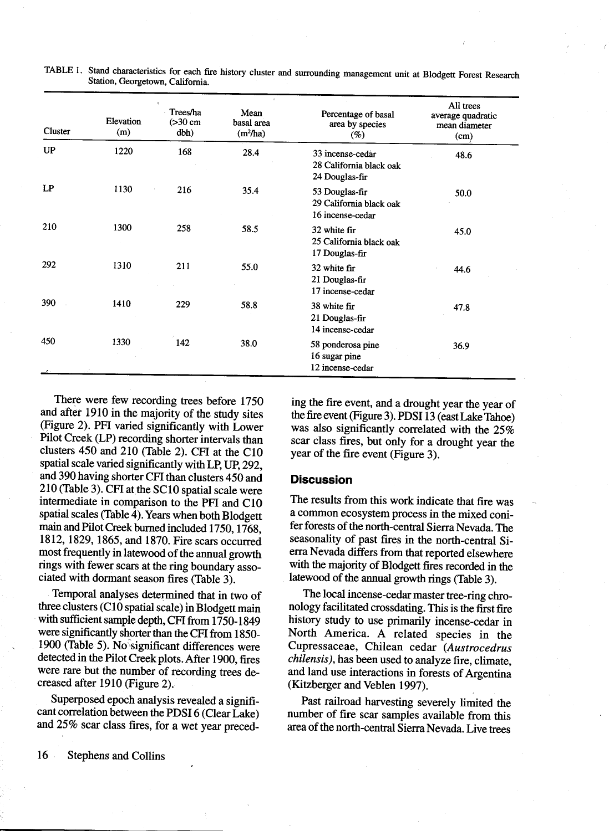| Cluster   | Elevation<br>(m) | $\mathcal{A}_\mathcal{A}$<br>Trees/ha<br>$(>30$ cm<br>dbh) | Mean<br>basal area<br>$(m^2/ha)$ | Percentage of basal<br>area by species<br>$( \% )$            | All trees<br>average quadratic<br>mean diameter<br>(cm) |
|-----------|------------------|------------------------------------------------------------|----------------------------------|---------------------------------------------------------------|---------------------------------------------------------|
| <b>UP</b> | 1220             | 168                                                        | 28.4                             | 33 incense-cedar<br>28 California black oak<br>24 Douglas-fir | 48.6                                                    |
| LP        | 1130             | 216                                                        | 35.4                             | 53 Douglas-fir<br>29 California black oak<br>16 incense-cedar | 50.0                                                    |
| 210       | 1300             | 258                                                        | 58.5                             | 32 white fir<br>25 California black oak<br>17 Douglas-fir     | 45.0                                                    |
| 292       | 1310             | 211                                                        | 55.0                             | 32 white fir<br>21 Douglas-fir<br>17 incense-cedar            | 44.6                                                    |
| 390       | 1410             | 229                                                        | 58.8                             | 38 white fir<br>21 Douglas-fir<br>14 incense-cedar            | 47.8                                                    |
| 450       | 1330             | 142                                                        | 38.0                             | 58 ponderosa pine<br>16 sugar pine<br>12 incense-cedar        | 36.9                                                    |

TABLE 1. Stand characteristics for each fire history cluster and surrounding management unit at Blodgett Forest Research Station. Georgetown. California.

There were few recording trees before 1750 and after 1910 in the majority of the study sites (Figure 2). PFI varied significantly with Lower Pilot Creek (LP) recording shorter intervals than clusters 450 and 210 (Table 2). CFI at the C10 spatial scale varied significantly with LP. UP. 292. and 390 having shorter CFI than clusters 450 and 210 (Table 3). CFI at the SC10 spatial scale were intermediate in comparison to the PFI and C10 spatial scales (Table  $\frac{1}{4}$ ). Years when both Blodgett main and Pilot Creek burned included 1750, 1768. 1812, 1829, 1865, and 1870. Fire scars occurred most frequently in latewood of the annual growth rings with fewer scars at the ring boundary associated with dormant season fires (Table 3).

Temporal analyses determined that in two of three clusters (C10 spatial scale) in Blodgett main with sufficient sample depth, CFI from 1750-1849 were significantly shorter than the CFI from 1850-1900 (Table 5). No significant differences were detected in the Pilot Creek plots. After 1900, fires were rare but the number of recording trees decreased after 1910 (Figure 2).

Superposed epoch analysis revealed a significant correlation between the PDSI 6 (Clear Lake) and 25% scar class fires, for a wet year preceding the fire event, and a drought year the year of the fire event (Figure 3). PDSI 13 (east Lake Tahoe) was also significantly correlated with the  $25\%$ scar class fires, but only for a drought year the year of the fire event (Figure 3).

## **Discussion**

The results from this work indicate that fire was a common ecosystem process in the mixed conifer forests of the north-central Sierra Nevada. The seasonality of past fires in the north-central Sierra Nevada differs from that reported elsewhere with the majority of Blodgett fires recorded in the latewood of the annual growth rings (Table 3).

The local incense-cedar master tree-ring chronology facilitated crossdating. This is the first fire history study to use primarily incense-cedar in North America. A related species in the Cupressaceae, Chilean cedar (Austrocedrus chilensis), has been used to analyze fire, climate, and land use interactions in forests of Argentina (Kitzberger and Veblen 1997).

Past railroad harvesting severely limited the number of fire scar samples available from this area of the north-central Sierra Nevada. Live trees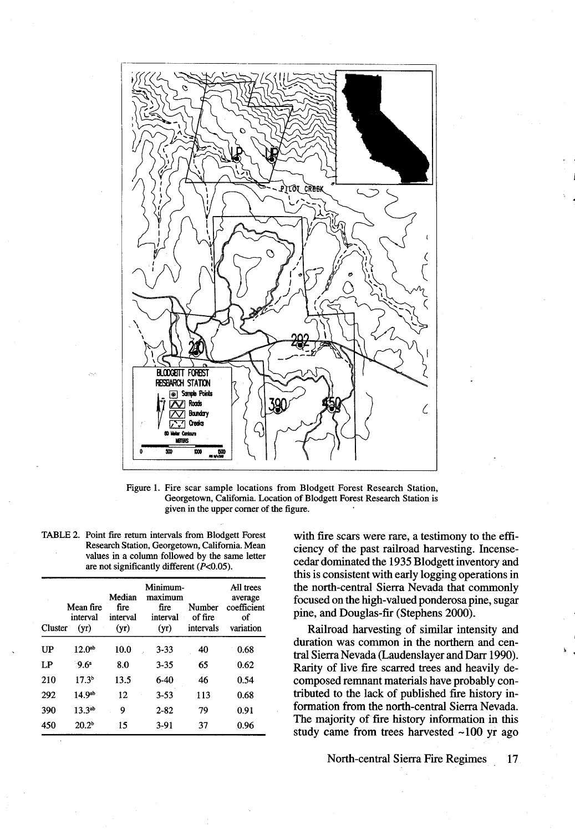

Figure 1. Fire scar sample locations from Blodgett Forest Research Station, Georgetown, California. Location of Blodgett Forest Research Station is given in the upper corner of the figure.

| TABLE 2. Point fire return intervals from Blodgett Forest |
|-----------------------------------------------------------|
| Research Station, Georgetown, California. Mean            |
| values in a column followed by the same letter            |
| are not significantly different $(P<0.05)$ .              |

| Cluster | Mean fire<br>interval<br>(yr) | Median<br>fire<br>interval<br>(vr) | Minimum-<br>maximum<br>fire<br>interval<br>(yr) | Number<br>of fire<br>intervals | All trees<br>average<br>coefficient<br>of<br>variation |
|---------|-------------------------------|------------------------------------|-------------------------------------------------|--------------------------------|--------------------------------------------------------|
| UP      | 12.0 <sup>ab</sup>            | 10.0                               | $3 - 33$                                        | 40                             | 0.68                                                   |
| LP.     | 9.6 <sup>a</sup>              | 8.0                                | $3 - 35$                                        | 65                             | 0.62                                                   |
| 210     | 17.3 <sup>b</sup>             | 13.5                               | $6-40$                                          | 46                             | 0.54                                                   |
| 292     | 14.9 <sup>ab</sup>            | 12                                 | $3 - 53$                                        | 113                            | 0.68                                                   |
| 390     | $13.3^{ab}$                   | 9                                  | $2 - 82$                                        | 79                             | 0.91                                                   |
| 450     | 20.2 <sup>b</sup>             | 15                                 | $3-91$                                          | 37                             | 0.96                                                   |

with fire scars were rare, a testimony to the efficiency of the past railroad harvesting. Incensecedar dominated the 1935 Blodgett inventory and this is consistent with early logging operations in the north-central Sierra Nevada that commonly focused on the high-valued ponderosa pine, sugar pine, and Douglas-fir (Stephens 2000).

Railroad harvesting of similar intensity and duration was common in the northern and central Sierra Nevada (Laudenslayer and Darr 1990). Rarity of live fire scarred trees and heavily decomposed remnant materials have probably contributed to the lack of published fire history information from the north-central Sierra Nevada. The majority of fire history information in this study came from trees harvested ~100 yr ago

> North-central Sierra Fire Regimes 17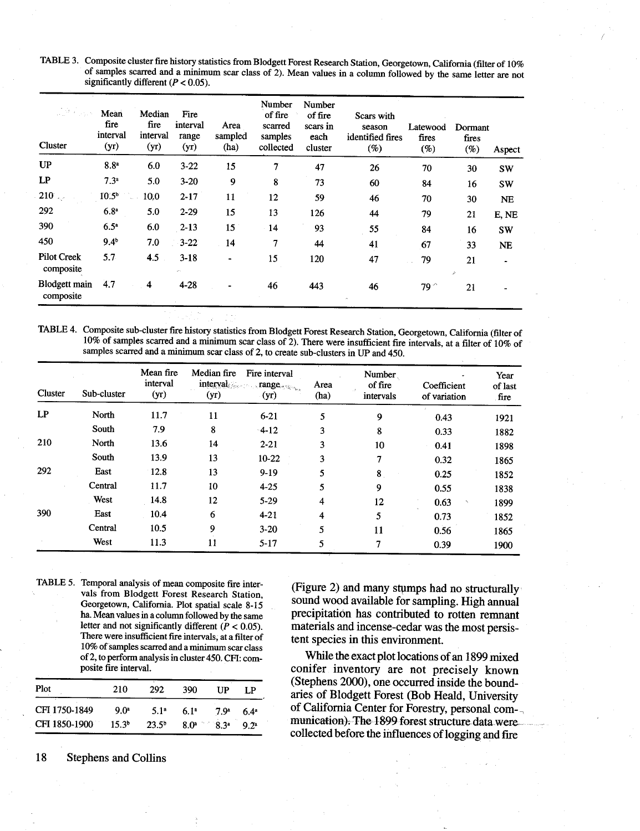TABLE 3. Composite cluster fire history statistics from Blodgett Forest Research Station, Georgetown, California (filter of 10% of samples scarred and a minimum scar class of 2). Mean values in a column followed by the same letter are not significantly different ( $P < 0.05$ ).

| $\frac{1}{2\pi}\partial_{\mu}\varphi_{\mu\nu\rho\sigma}$<br>Cluster | Mean<br>fire<br>interval<br>(yr) | Median<br>fire<br>interval<br>(yr) | Fire<br>interval<br>range<br>(yr) | Area<br>sampled<br>(ha) | Number<br>of fire<br>scarred<br>samples<br>collected | Number<br>of fire<br>scars in<br>each<br>cluster | Scars with<br>season<br>identified fires<br>(%) | Latewood<br>fires<br>$(\%)$ | Dormant<br>fires<br>(%) | Aspect    |
|---------------------------------------------------------------------|----------------------------------|------------------------------------|-----------------------------------|-------------------------|------------------------------------------------------|--------------------------------------------------|-------------------------------------------------|-----------------------------|-------------------------|-----------|
| <b>UP</b>                                                           | 8.8 <sup>a</sup>                 | 6.0                                | $3 - 22$                          | 15                      | 7                                                    | 47                                               | 26                                              | 70                          | 30                      | <b>SW</b> |
| LP                                                                  | 7.3 <sup>a</sup>                 | 5.0                                | $3 - 20$                          | 9                       | 8                                                    | 73                                               | 60                                              | 84                          | 16                      | <b>SW</b> |
| 210                                                                 | 10.5 <sup>b</sup>                | 10.0                               | $2 - 17$                          | 11                      | 12                                                   | 59                                               | 46                                              | 70                          | 30                      | <b>NE</b> |
| 292                                                                 | 6.8 <sup>a</sup>                 | 5.0                                | $2 - 29$                          | 15                      | 13                                                   | 126                                              | 44                                              | 79                          | 21                      | E, NE     |
| 390                                                                 | 6.5 <sup>a</sup>                 | 6.0                                | $2 - 13$                          | 15                      | $-14$                                                | 93                                               | 55                                              | 84                          | 16                      | <b>SW</b> |
| 450                                                                 | 9.4 <sup>b</sup>                 | 7.0                                | $-3-22$                           | 14                      | 7                                                    | 44                                               | 41                                              | 67                          | 33                      | <b>NE</b> |
| <b>Pilot Creek</b><br>composite                                     | 5.7                              | 4.5                                | $3-18$<br>en.                     |                         | 15                                                   | 120                                              | 47                                              | 79                          | 21<br>₽                 |           |
| <b>Blodgett</b> main<br>composite                                   | 4.7                              | 4                                  | $4 - 28$                          |                         | 46                                                   | 443                                              | 46                                              | $79^{\degree}$              | 21                      |           |

TABLE 4. Composite sub-cluster fire history statistics from Blodgett Forest Research Station, Georgetown, California (filter of 10% of samples scarred and a minimum scar class of 2). There were insufficient fire intervals, at a filter of 10% of samples scarred and a minimum scar class of 2, to create sub-clusters in UP and 450.

| Cluster | Sub-cluster | Mean fire<br>interval<br>(yr) | Median fire<br>interval<br>(yr) | Fire interval<br>$\blacksquare$ range<br>(yr) | Area<br>(ha) | Number<br>of fire<br>intervals | Coefficient<br>of variation | Year<br>of last<br>fire |
|---------|-------------|-------------------------------|---------------------------------|-----------------------------------------------|--------------|--------------------------------|-----------------------------|-------------------------|
| LP      | North       | 11.7                          | 11                              | $6 - 21$                                      | 5            | 9                              | 0.43                        | 1921                    |
|         | South       | 7.9                           | 8                               | $-4-12$                                       | 3            | 8                              | 0.33                        | 1882                    |
| 210     | North       | 13.6                          | 14                              | $2 - 21$                                      | 3            | 10                             | 0.41                        | 1898                    |
|         | South       | 13.9                          | 13                              | $10-22$                                       | 3            | 7                              | 0.32                        | 1865                    |
| 292     | East        | 12.8                          | 13                              | $9-19$                                        | 5            | 8                              | 0.25                        | 1852                    |
|         | Central     | 11.7                          | 10                              | $4 - 25$                                      | 5            | 9                              | 0.55                        | 1838                    |
|         | West        | 14.8                          | 12                              | $5-29$                                        | 4            | 12                             | 0.63                        | 1899                    |
| 390     | East        | 10.4                          | 6                               | $4 - 21$                                      | 4            | 5                              | 0.73                        | 1852                    |
|         | Central     | 10.5                          | 9                               | $3 - 20$                                      | 5            | 11                             | 0.56                        | 1865                    |
|         | West        | 11.3                          | 11                              | $5 - 17$                                      | 5            | 7                              | 0.39                        | 1900                    |

TABLE 5. Temporal analysis of mean composite fire intervals from Blodgett Forest Research Station, Georgetown, California. Plot spatial scale 8-15 ha. Mean values in a column followed by the same letter and not significantly different ( $P < 0.05$ ). There were insufficient fire intervals, at a filter of 10% of samples scarred and a minimum scar class of 2, to perform analysis in cluster 450. CFI: composite fire interval.

| Plot          | 210               | 292              | 390              | ПP               | I P              |
|---------------|-------------------|------------------|------------------|------------------|------------------|
| CFI 1750-1849 | 9.0 <sup>a</sup>  | 5.1 <sup>a</sup> | 6.1 <sup>a</sup> | 7.9 <sup>a</sup> | $6.4^a$          |
| CFI 1850-1900 | 15.3 <sup>b</sup> | $23.5^{\circ}$   | 8.0 <sup>a</sup> | ିR 3ª            | 9.2 <sup>a</sup> |

(Figure 2) and many stumps had no structurally sound wood available for sampling. High annual precipitation has contributed to rotten remnant materials and incense-cedar was the most persistent species in this environment.

While the exact plot locations of an 1899 mixed conifer inventory are not precisely known (Stephens 2000), one occurred inside the boundaries of Blodgett Forest (Bob Heald, University of California Center for Forestry, personal communication). The 1899 forest structure data were. collected before the influences of logging and fire

**Stephens and Collins** 18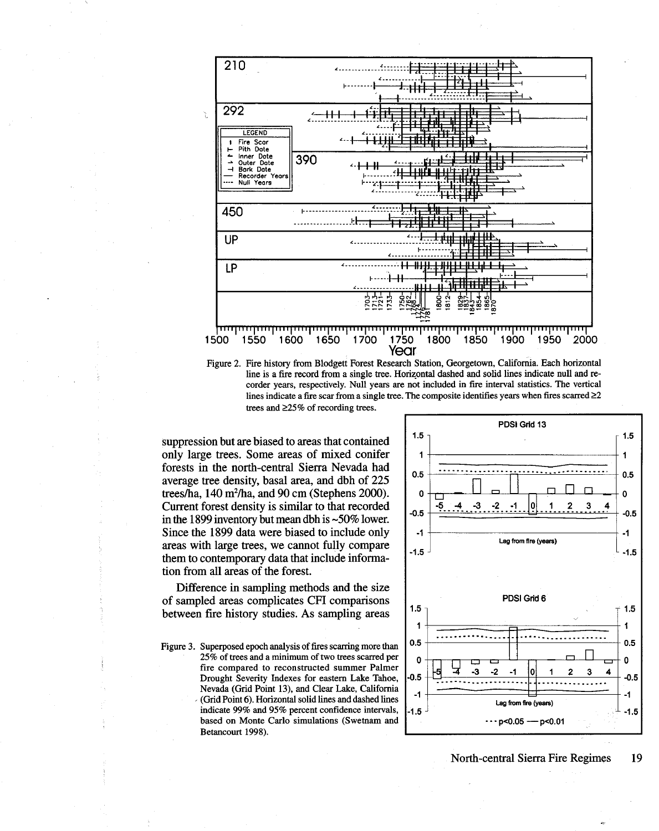

Figure 2. Fire history from Blodgett Forest Research Station, Georgetown, California. Each horizontal line is a fire record from a single tree. Horizontal dashed and solid lines indicate null and recorder years, respectively. Null years are not included in fire interval statistics. The vertical lines indicate a fire scar from a single tree. The composite identifies years when fires scarred  $\geq 2$ trees and  $\geq$ 25% of recording trees.

suppression but are biased to areas that contained only large trees. Some areas of mixed conifer forests in the north-central Sierra Nevada had average tree density, basal area, and dbh of 225 trees/ha, 140 m<sup>2</sup>/ha, and 90 cm (Stephens 2000). Current forest density is similar to that recorded in the 1899 inventory but mean dbh is  $\sim 50\%$  lower. Since the 1899 data were biased to include only areas with large trees, we cannot fully compare them to contemporary data that include information from all areas of the forest.

Difference in sampling methods and the size of sampled areas complicates CFI comparisons between fire history studies. As sampling areas

Figure 3. Superposed epoch analysis of fires scarring more than 25% of trees and a minimum of two trees scarred per fire compared to reconstructed summer Palmer Drought Severity Indexes for eastern Lake Tahoe, Nevada (Grid Point 13), and Clear Lake, California (Grid Point 6). Horizontal solid lines and dashed lines indicate 99% and 95% percent confidence intervals, based on Monte Carlo simulations (Swetnam and Betancourt 1998).



## North-central Sierra Fire Regimes

19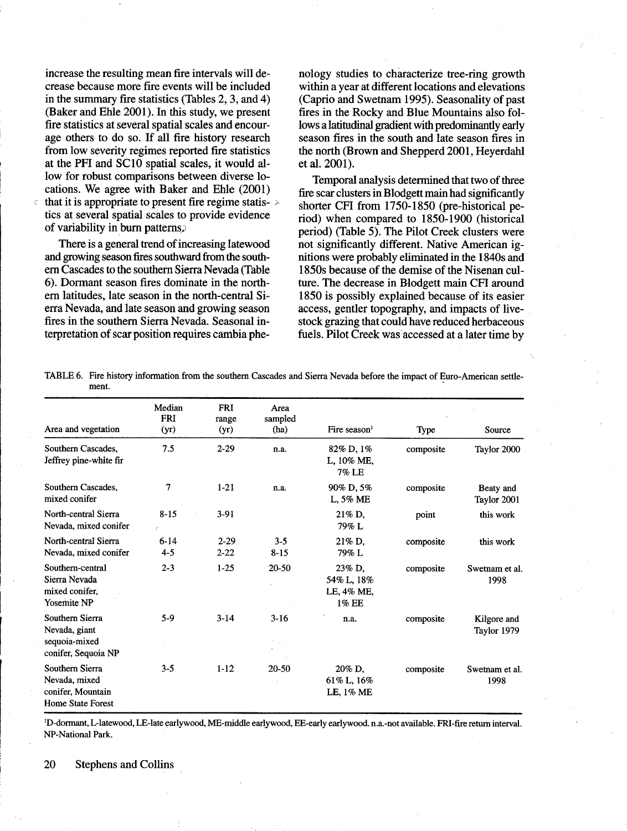increase the resulting mean fire intervals will decrease because more fire events will be included in the summary fire statistics (Tables 2, 3, and 4) (Baker and Ehle 2001). In this study, we present fire statistics at several spatial scales and encourage others to do so. If all fire history research from low severity regimes reported fire statistics at the PFI and SC10 spatial scales, it would allow for robust comparisons between diverse locations. We agree with Baker and Ehle (2001) that it is appropriate to present fire regime statis- $\ge$ tics at several spatial scales to provide evidence of variability in burn patterns.

There is a general trend of increasing latewood and growing season fires southward from the southern Cascades to the southern Sierra Nevada (Table 6). Dormant season fires dominate in the northern latitudes, late season in the north-central Sierra Nevada, and late season and growing season fires in the southern Sierra Nevada. Seasonal interpretation of scar position requires cambia phenology studies to characterize tree-ring growth within a year at different locations and elevations (Caprio and Swetnam 1995). Seasonality of past fires in the Rocky and Blue Mountains also follows a latitudinal gradient with predominantly early season fires in the south and late season fires in the north (Brown and Shepperd 2001, Heverdahl et al. 2001).

Temporal analysis determined that two of three fire scar clusters in Blodgett main had significantly shorter CFI from 1750-1850 (pre-historical period) when compared to 1850-1900 (historical period) (Table 5). The Pilot Creek clusters were not significantly different. Native American ignitions were probably eliminated in the 1840s and 1850s because of the demise of the Nisenan culture. The decrease in Blodgett main CFI around 1850 is possibly explained because of its easier access, gentler topography, and impacts of livestock grazing that could have reduced herbaceous fuels. Pilot Creek was accessed at a later time by

TABLE 6. Fire history information from the southern Cascades and Sierra Nevada before the impact of Euro-American settlement.

|                                                                            | Median              | <b>FRI</b>           | Area                |                                             |           |                            |
|----------------------------------------------------------------------------|---------------------|----------------------|---------------------|---------------------------------------------|-----------|----------------------------|
| Area and vegetation                                                        | <b>FRI</b><br>(yr)  | range<br>(yr)        | sampled<br>(ha)     | Fire season $1$                             | Type      | Source                     |
| Southern Cascades,<br>Jeffrey pine-white fir                               | 7.5                 | $2 - 29$             | n.a.                | 82% D, 1%<br>L, 10% ME,<br>7% LE            | composite | Taylor 2000                |
| Southern Cascades.<br>mixed conifer                                        | 7                   | $1-21$               | n.a.                | 90% D, 5%<br>L, 5% ME                       | composite | Beaty and<br>Taylor 2001   |
| North-central Sierra<br>Nevada, mixed conifer                              | $8 - 15$            | $3-91$               |                     | 21% D.<br>79% L                             | point     | this work                  |
| North-central Sierra<br>Nevada, mixed conifer                              | $6 - 14$<br>$4 - 5$ | $2 - 29$<br>$2 - 22$ | $3 - 5$<br>$8 - 15$ | 21% D.<br>79% L                             | composite | this work                  |
| Southern-central<br>Sierra Nevada<br>mixed conifer.<br><b>Yosemite NP</b>  | $2 - 3$             | $1 - 25$             | 20-50               | 23% D.<br>54% L, 18%<br>LE, 4% ME,<br>1% EE | composite | Swetnam et al.<br>1998     |
| Southern Sierra<br>Nevada, giant<br>sequoia-mixed<br>conifer, Sequoia NP   | 5-9                 | $3 - 14$             | $3 - 16$            | n.a.                                        | composite | Kilgore and<br>Taylor 1979 |
| Southern Sierra<br>Nevada, mixed<br>conifer. Mountain<br>Home State Forest | $3 - 5$             | $1 - 12$             | 20-50               | 20% D.<br>61% L, $16\%$<br>LE, 1% ME        | composite | Swetnam et al.<br>1998     |

<sup>1</sup>D-dormant, L-latewood, LE-late earlywood, ME-middle earlywood, EE-early earlywood. n.a.-not available. FRI-fire return interval. NP-National Park.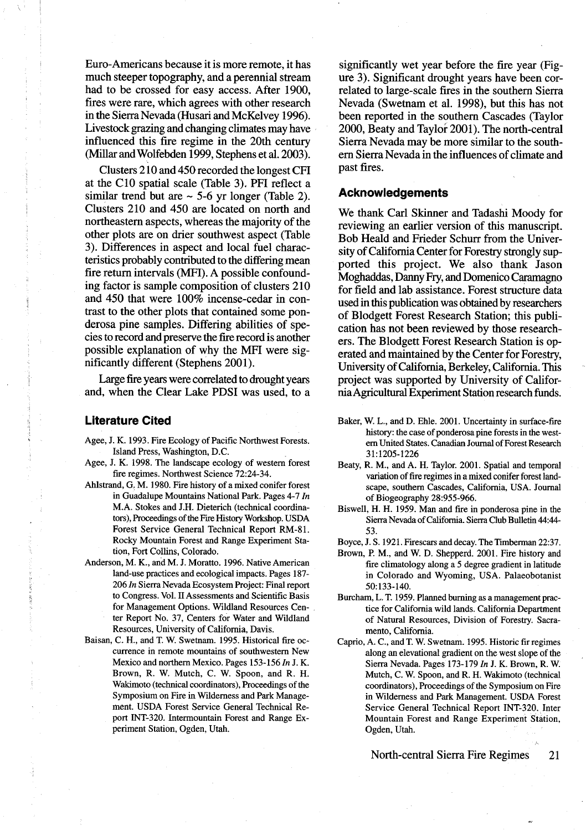Euro-Americans because it is more remote, it has much steeper topography, and a perennial stream had to be crossed for easy access. After 1900, fires were rare, which agrees with other research in the Sierra Nevada (Husari and McKelvey 1996). Livestock grazing and changing climates may have influenced this fire regime in the 20th century (Millar and Wolfebden 1999, Stephens et al. 2003).

Clusters 210 and 450 recorded the longest CFI at the C10 spatial scale (Table 3). PFI reflect a similar trend but are  $\sim$  5-6 yr longer (Table 2). Clusters 210 and 450 are located on north and northeastern aspects, whereas the majority of the other plots are on drier southwest aspect (Table 3). Differences in aspect and local fuel characteristics probably contributed to the differing mean fire return intervals (MFI). A possible confounding factor is sample composition of clusters 210 and 450 that were  $100\%$  incense-cedar in contrast to the other plots that contained some ponderosa pine samples. Differing abilities of species to record and preserve the fire record is another possible explanation of why the MFI were significantly different (Stephens 2001).

Large fire years were correlated to drought years and, when the Clear Lake PDSI was used, to a

## **Literature Cited**

- Agee, J. K. 1993. Fire Ecology of Pacific Northwest Forests. Island Press, Washington, D.C.
- Agee, J. K. 1998. The landscape ecology of western forest fire regimes. Northwest Science 72:24-34.
- Ahlstrand, G. M. 1980. Fire history of a mixed conifer forest in Guadalupe Mountains National Park. Pages 4-7 In M.A. Stokes and J.H. Dieterich (technical coordinators), Proceedings of the Fire History Workshop, USDA Forest Service General Technical Report RM-81. Rocky Mountain Forest and Range Experiment Station, Fort Collins, Colorado.
- Anderson, M. K., and M. J. Moratto. 1996. Native American land-use practices and ecological impacts. Pages 187-206 In Sierra Nevada Ecosystem Project: Final report to Congress. Vol. II Assessments and Scientific Basis for Management Options. Wildland Resources Center Report No. 37. Centers for Water and Wildland Resources, University of California, Davis.
- Baisan, C. H., and T. W. Swetnam. 1995. Historical fire occurrence in remote mountains of southwestern New Mexico and northern Mexico. Pages 153-156 In J. K. Brown, R. W. Mutch, C. W. Spoon, and R. H. Wakimoto (technical coordinators). Proceedings of the Symposium on Fire in Wilderness and Park Management. USDA Forest Service General Technical Report INT-320. Intermountain Forest and Range Experiment Station, Ogden, Utah.

significantly wet year before the fire year (Figure 3). Significant drought years have been correlated to large-scale fires in the southern Sierra Nevada (Swetnam et al. 1998), but this has not been reported in the southern Cascades (Taylor 2000, Beaty and Taylor 2001). The north-central Sierra Nevada may be more similar to the southern Sierra Nevada in the influences of climate and past fires.

# **Acknowledgements**

We thank Carl Skinner and Tadashi Moody for reviewing an earlier version of this manuscript. Bob Heald and Frieder Schurr from the University of California Center for Forestry strongly supported this project. We also thank Jason Moghaddas, Danny Fry, and Domenico Caramagno for field and lab assistance. Forest structure data used in this publication was obtained by researchers of Blodgett Forest Research Station; this publication has not been reviewed by those researchers. The Blodgett Forest Research Station is operated and maintained by the Center for Forestry, University of California, Berkeley, California. This project was supported by University of California Agricultural Experiment Station research funds.

- Baker, W. L., and D. Ehle. 2001. Uncertainty in surface-fire history: the case of ponderosa pine forests in the western United States. Canadian Journal of Forest Research 31:1205-1226
- Beaty, R. M., and A. H. Taylor. 2001. Spatial and temporal variation of fire regimes in a mixed conifer forest landscape, southern Cascades, California, USA. Journal of Biogeography 28:955-966.
- Biswell, H. H. 1959. Man and fire in ponderosa pine in the Sierra Nevada of California. Sierra Club Bulletin 44:44-53.
- Boyce, J. S. 1921. Firescars and decay. The Timberman 22:37.
- Brown, P. M., and W. D. Shepperd. 2001. Fire history and fire climatology along a 5 degree gradient in latitude in Colorado and Wyoming, USA. Palaeobotanist 50:133-140.
- Burcham, L. T. 1959. Planned burning as a management practice for California wild lands. California Department of Natural Resources, Division of Forestry. Sacramento, California.
- Caprio, A. C., and T. W. Swetnam. 1995. Historic fir regimes along an elevational gradient on the west slope of the Sierra Nevada. Pages 173-179 In J. K. Brown, R. W. Mutch, C. W. Spoon, and R. H. Wakimoto (technical coordinators), Proceedings of the Symposium on Fire in Wilderness and Park Management. USDA Forest Service General Technical Report INT-320. Inter Mountain Forest and Range Experiment Station, Ogden, Utah.

North-central Sierra Fire Regimes 21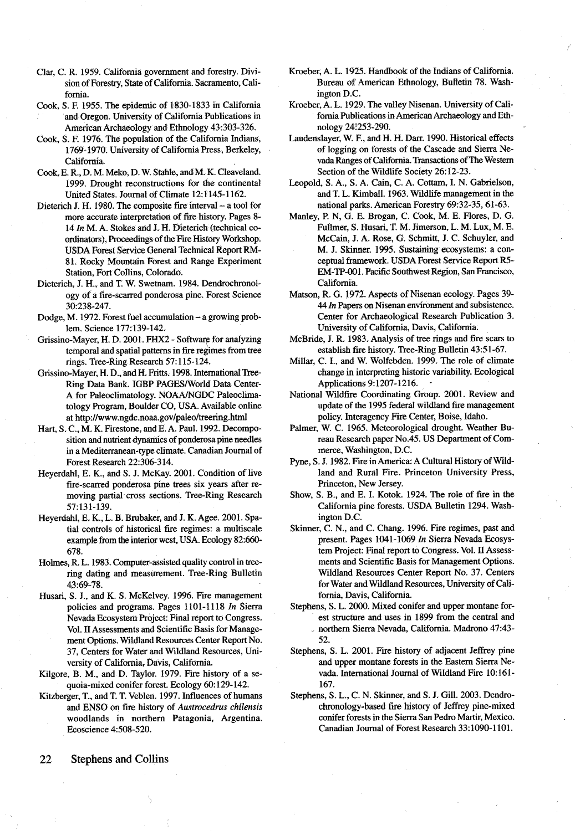- Clar, C. R. 1959. California government and forestry. Division of Forestry, State of California. Sacramento, California.
- Cook, S. F. 1955. The epidemic of 1830-1833 in California and Oregon. University of California Publications in American Archaeology and Ethnology 43:303-326.
- Cook, S. F. 1976. The population of the California Indians, 1769-1970. University of California Press, Berkeley, California.
- Cook, E. R., D. M. Meko, D. W. Stahle, and M. K. Cleaveland. 1999. Drought reconstructions for the continental United States. Journal of Climate 12:1145-1162.
- Dieterich J. H. 1980. The composite fire interval a tool for more accurate interpretation of fire history. Pages 8-14 In M. A. Stokes and J. H. Dieterich (technical coordinators), Proceedings of the Fire History Workshop. **USDA Forest Service General Technical Report RM-**81. Rocky Mountain Forest and Range Experiment Station, Fort Collins, Colorado.
- Dieterich, J. H., and T. W. Swetnam. 1984. Dendrochronology of a fire-scarred ponderosa pine. Forest Science 30:238-247.
- Dodge, M. 1972. Forest fuel accumulation a growing problem. Science 177:139-142.
- Grissino-Mayer, H. D. 2001. FHX2 Software for analyzing temporal and spatial patterns in fire regimes from tree rings. Tree-Ring Research 57:115-124.
- Grissino-Mayer, H. D., and H. Fritts. 1998. International Tree-Ring Data Bank. IGBP PAGES/World Data Center-A for Paleoclimatology. NOAA/NGDC Paleoclimatology Program, Boulder CO, USA. Available online at http://www.ngdc.noaa.gov/paleo/treering.html
- Hart, S. C., M. K. Firestone, and E. A. Paul. 1992. Decomposition and nutrient dynamics of ponderosa pine needles in a Mediterranean-type climate. Canadian Journal of Forest Research 22:306-314.
- Heverdahl, E. K., and S. J. McKay. 2001. Condition of live fire-scarred ponderosa pine trees six years after removing partial cross sections. Tree-Ring Research 57:131-139.
- Heyerdahl, E. K., L. B. Brubaker, and J. K. Agee. 2001. Spatial controls of historical fire regimes: a multiscale example from the interior west, USA. Ecology 82:660-678.
- Holmes, R. L. 1983. Computer-assisted quality control in treering dating and measurement. Tree-Ring Bulletin 43:69-78.
- Husari, S. J., and K. S. McKelvey. 1996. Fire management policies and programs. Pages 1101-1118 In Sierra Nevada Ecosystem Project: Final report to Congress. Vol. II Assessments and Scientific Basis for Management Options. Wildland Resources Center Report No. 37, Centers for Water and Wildland Resources, University of California, Davis, California.
- Kilgore, B. M., and D. Taylor. 1979. Fire history of a sequoia-mixed conifer forest. Ecology 60:129-142.
- Kitzberger, T., and T. T. Veblen, 1997. Influences of humans and ENSO on fire history of Austrocedrus chilensis woodlands in northern Patagonia, Argentina. Ecoscience 4:508-520.
- Kroeber, A. L. 1925. Handbook of the Indians of California. Bureau of American Ethnology, Bulletin 78. Washington D.C.
- Kroeber, A. L. 1929. The valley Nisenan. University of California Publications in American Archaeology and Ethnology 24:253-290.
- Laudenslayer, W. F., and H. H. Darr. 1990. Historical effects of logging on forests of the Cascade and Sierra Nevada Ranges of California. Transactions of The Western Section of the Wildlife Society 26:12-23.
- Leopold, S. A., S. A. Cain, C. A. Cottam, I. N. Gabrielson, and T. L. Kimball. 1963. Wildlife management in the national parks. American Forestry 69:32-35, 61-63.
- Manley, P. N, G. E. Brogan, C. Cook, M. E. Flores, D. G. Fullmer, S. Husari, T. M. Jimerson, L. M. Lux, M. E. McCain, J. A. Rose, G. Schmitt, J. C. Schuyler, and M. J. Skinner. 1995. Sustaining ecosystems: a conceptual framework. USDA Forest Service Report R5-EM-TP-001. Pacific Southwest Region, San Francisco, California.
- Matson, R. G. 1972. Aspects of Nisenan ecology. Pages 39-44 In Papers on Nisenan environment and subsistence. Center for Archaeological Research Publication 3. University of California, Davis, California.
- McBride, J. R. 1983. Analysis of tree rings and fire scars to establish fire history. Tree-Ring Bulletin 43:51-67.
- Millar, C. I., and W. Wolfebden. 1999. The role of climate change in interpreting historic variability. Ecological Applications 9:1207-1216.
- National Wildfire Coordinating Group. 2001. Review and update of the 1995 federal wildland fire management policy. Interagency Fire Center, Boise, Idaho.
- Palmer, W. C. 1965. Meteorological drought. Weather Bureau Research paper No.45. US Department of Commerce, Washington, D.C.
- Pyne, S. J. 1982. Fire in America: A Cultural History of Wildland and Rural Fire. Princeton University Press, Princeton, New Jersey.
- Show, S. B., and E. I. Kotok. 1924. The role of fire in the California pine forests. USDA Bulletin 1294. Washington D.C.
- Skinner, C. N., and C. Chang. 1996. Fire regimes, past and present. Pages 1041-1069 In Sierra Nevada Ecosystem Project: Final report to Congress. Vol. II Assessments and Scientific Basis for Management Options. Wildland Resources Center Report No. 37. Centers for Water and Wildland Resources, University of California, Davis, California.
- Stephens, S. L. 2000. Mixed conifer and upper montane forest structure and uses in 1899 from the central and northern Sierra Nevada, California. Madrono 47:43-52.
- Stephens, S. L. 2001. Fire history of adjacent Jeffrey pine and upper montane forests in the Eastern Sierra Nevada. International Journal of Wildland Fire 10:161-167.
- Stephens, S. L., C. N. Skinner, and S. J. Gill. 2003. Dendrochronology-based fire history of Jeffrey pine-mixed conifer forests in the Sierra San Pedro Martir, Mexico. Canadian Journal of Forest Research 33:1090-1101.

22 **Stephens and Collins**